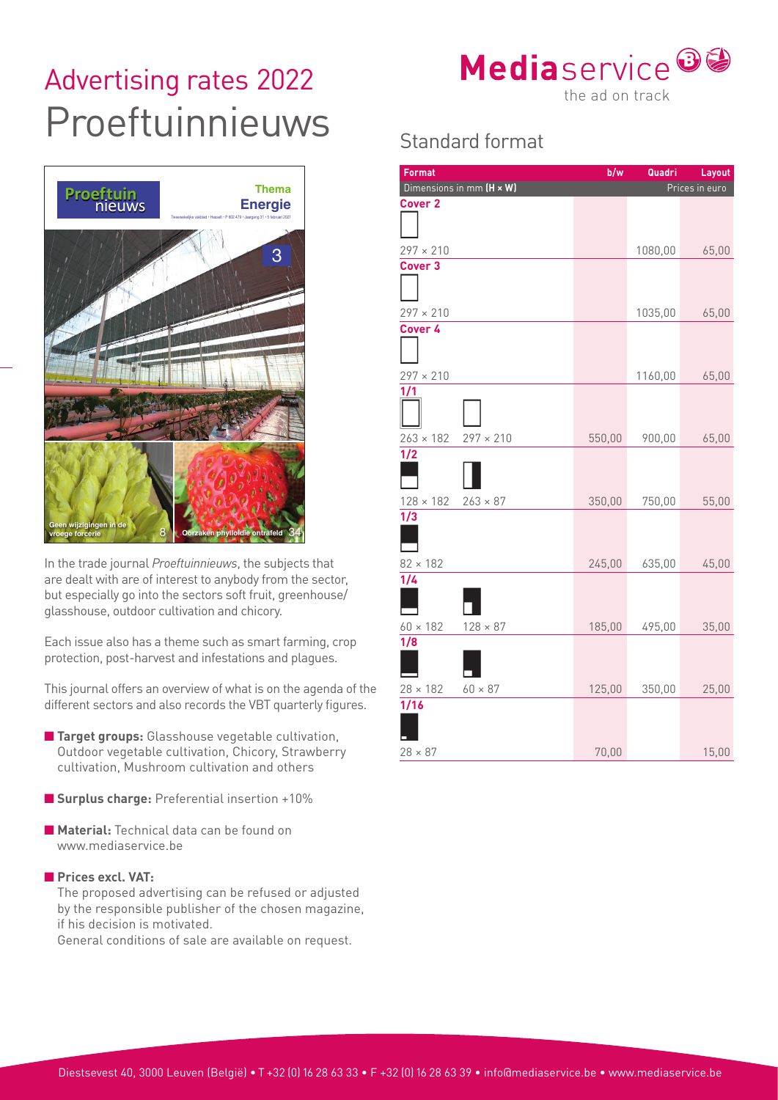## Advertising rates 2022<br>
the ad on track Proeftuinnieuws Standard format



In the trade journal *Proeftuinnieuws*, the subjects that are dealt with are of interest to anybody from the sector, but especially go into the sectors soft fruit, greenhouse/ glasshouse, outdoor cultivation and chicory.

Each issue also has a theme such as smart farming, crop protection, post-harvest and infestations and plagues.

This journal offers an overview of what is on the agenda of the different sectors and also records the VBT quarterly figures.

- **Target groups:** Glasshouse vegetable cultivation, Outdoor vegetable cultivation, Chicory, Strawberry cultivation, Mushroom cultivation and others
- **Surplus charge:** Preferential insertion +10%
- **Material:** Technical data can be found on www.mediaservice.be
- **Prices excl. VAT:**

The proposed advertising can be refused or adjusted by the responsible publisher of the chosen magazine, if his decision is motivated.

General conditions of sale are available on request.



| <b>Format</b>                       | b/w    | Quadri  | Layout         |
|-------------------------------------|--------|---------|----------------|
| Dimensions in mm (H x W)            |        |         | Prices in euro |
| <b>Cover 2</b>                      |        |         |                |
| $297 \times 210$                    |        | 1080,00 | 65,00          |
| Cover <sub>3</sub>                  |        |         |                |
| $297 \times 210$                    |        | 1035,00 | 65,00          |
| Cover 4                             |        |         |                |
| $297 \times 210$                    |        | 1160,00 | 65,00          |
| 1/1<br>$263 \times 182$             |        |         |                |
| $297 \times 210$<br>1/2             | 550,00 | 900,00  | 65,00          |
| $128 \times 182$<br>$263 \times 87$ | 350,00 | 750,00  | 55,00          |
| 1/3<br>$82 \times 182$              | 245,00 | 635,00  | 45,00          |
| 1/4                                 |        |         |                |
| $128 \times 87$<br>$60 \times 182$  | 185,00 | 495,00  | 35,00          |
| 1/8                                 |        |         |                |
| $28 \times 182$<br>$60 \times 87$   | 125,00 | 350,00  | 25,00          |
| $\overline{1/16}$                   |        |         |                |
| $28 \times 87$                      | 70,00  |         | 15,00          |